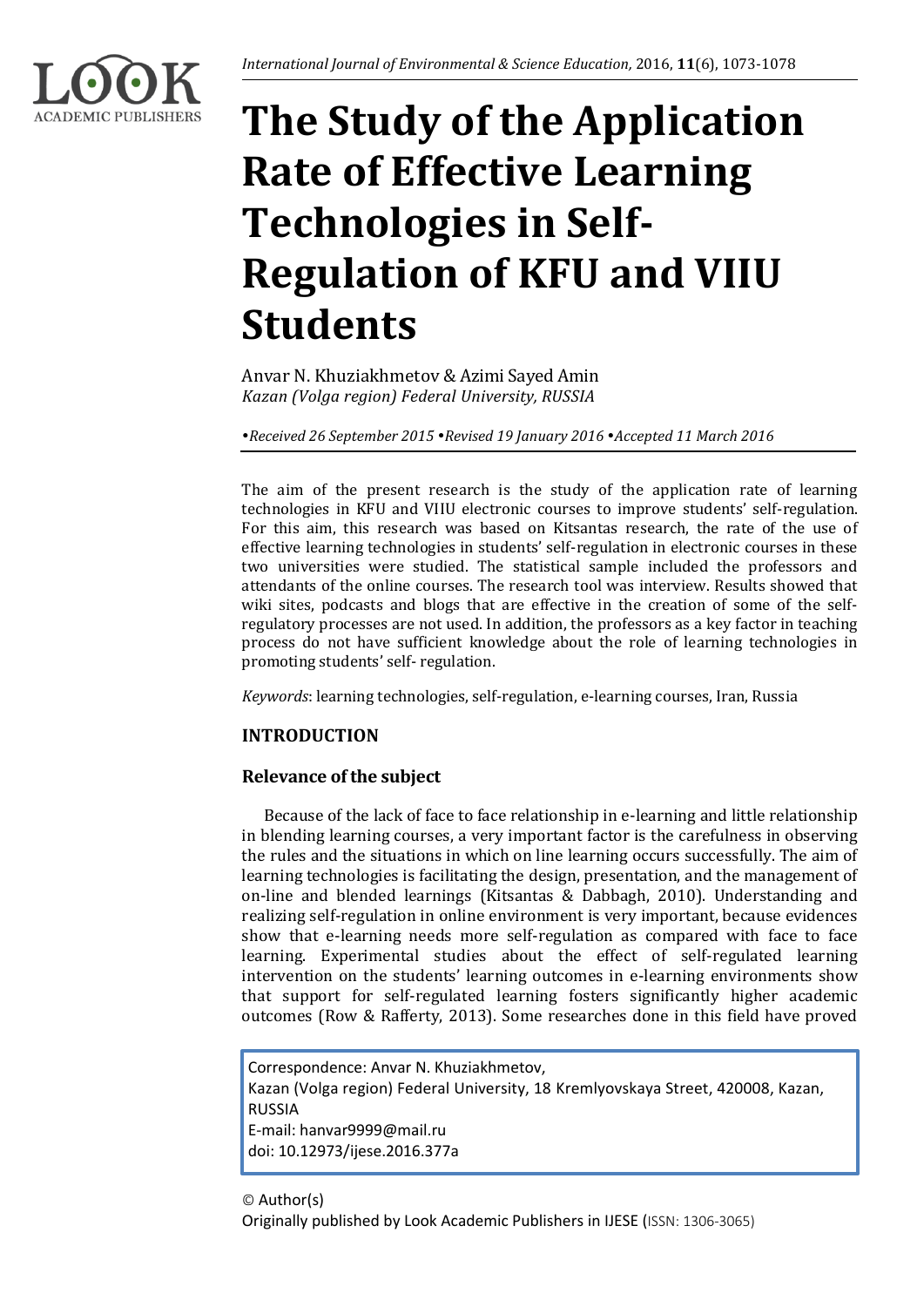

# **The Study of the Application Rate of Effective Learning Technologies in Self-Regulation of KFU and VIIU Students**

Anvar N. Khuziakhmetov & Azimi Sayed Amin *Kazan (Volga region) Federal University, RUSSIA*

*Received 26 September 2015 Revised 19 January 2016 Accepted 11 March 2016*

The aim of the present research is the study of the application rate of learning technologies in KFU and VIIU electronic courses to improve students' self-regulation. For this aim, this research was based on Kitsantas research, the rate of the use of effective learning technologies in students' self-regulation in electronic courses in these two universities were studied. The statistical sample included the professors and attendants of the online courses. The research tool was interview. Results showed that wiki sites, podcasts and blogs that are effective in the creation of some of the selfregulatory processes are not used. In addition, the professors as a key factor in teaching process do not have sufficient knowledge about the role of learning technologies in promoting students' self- regulation.

*Keywords*: learning technologies, self-regulation, e-learning courses, Iran, Russia

## **INTRODUCTION**

## **Relevance of the subject**

Because of the lack of face to face relationship in e-learning and little relationship in blending learning courses, a very important factor is the carefulness in observing the rules and the situations in which on line learning occurs successfully. The aim of learning technologies is facilitating the design, presentation, and the management of on-line and blended learnings (Kitsantas & Dabbagh, 2010). Understanding and realizing self-regulation in online environment is very important, because evidences show that e-learning needs more self-regulation as compared with face to face learning. Experimental studies about the effect of self-regulated learning intervention on the students' learning outcomes in e-learning environments show that support for self-regulated learning fosters significantly higher academic outcomes (Row & Rafferty, 2013). Some researches done in this field have proved

Correspondence: Anvar N. Khuziakhmetov, Kazan (Volga region) Federal University, 18 Kremlyovskaya Street, 420008, Kazan, RUSSIA E-mail: hanvar9999@mail.ru doi: 10.12973/ijese.2016.377a

© Author(s)

Originally published by Look Academic Publishers in IJESE (ISSN: 1306-3065)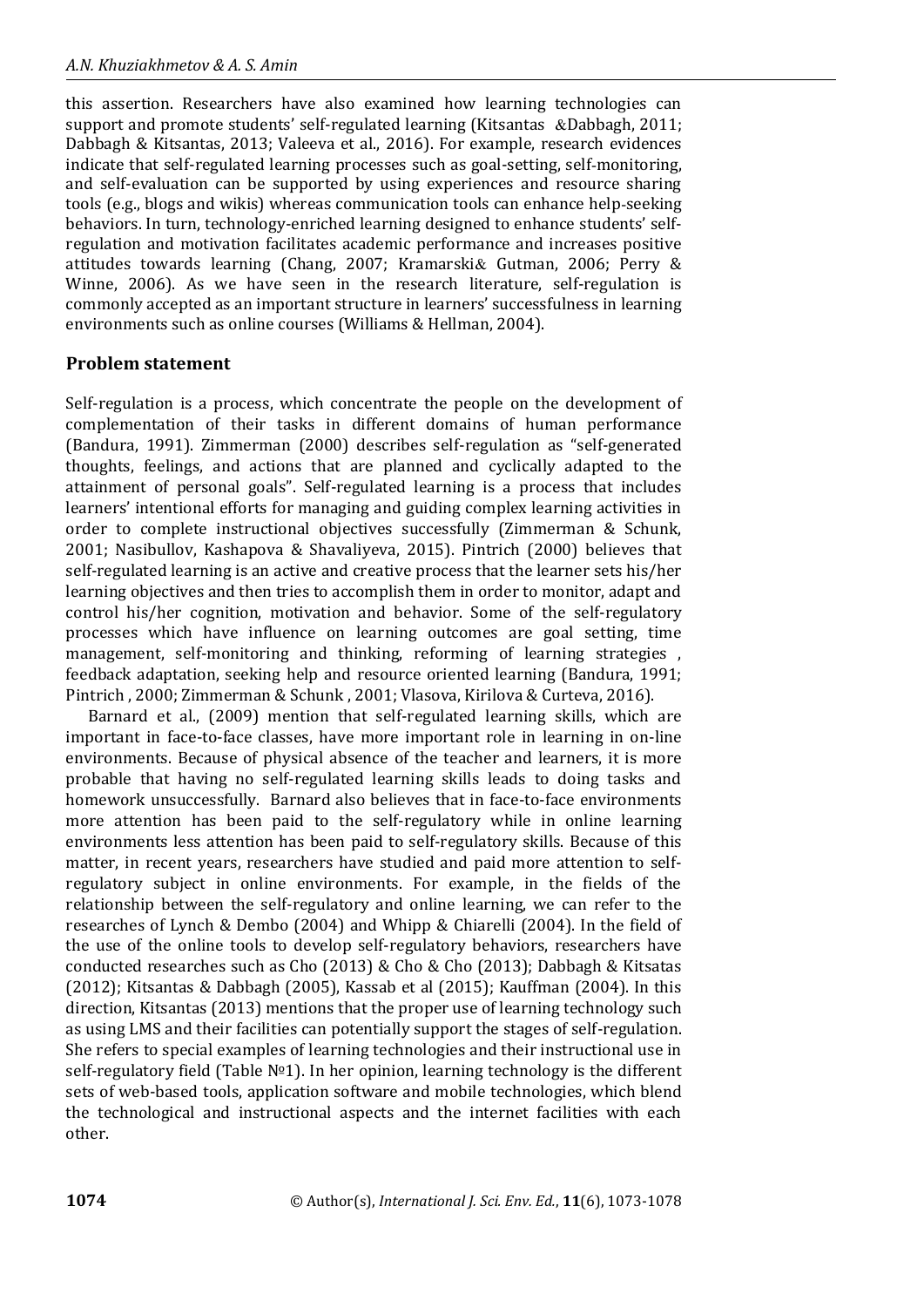this assertion. Researchers have also examined how learning technologies can support and promote students' self-regulated learning (Kitsantas &Dabbagh, 2011; Dabbagh & Kitsantas, 2013; Valeeva et al., 2016). For example, research evidences indicate that self-regulated learning processes such as goal-setting, self-monitoring, and self-evaluation can be supported by using experiences and resource sharing tools (e.g., blogs and wikis) whereas communication tools can enhance help-seeking behaviors. In turn, technology-enriched learning designed to enhance students' selfregulation and motivation facilitates academic performance and increases positive attitudes towards learning (Chang, 2007; Kramarski& Gutman, 2006; Perry & Winne, 2006). As we have seen in the research literature, self-regulation is commonly accepted as an important structure in learners' successfulness in learning environments such as online courses (Williams & Hellman, 2004).

## **Problem statement**

Self-regulation is a process, which concentrate the people on the development of complementation of their tasks in different domains of human performance (Bandura, 1991). Zimmerman (2000) describes self-regulation as "self-generated thoughts, feelings, and actions that are planned and cyclically adapted to the attainment of personal goals". Self-regulated learning is a process that includes learners' intentional efforts for managing and guiding complex learning activities in order to complete instructional objectives successfully (Zimmerman & Schunk, 2001; Nasibullov, Kashapova & Shavaliyeva, 2015). Pintrich (2000) believes that self-regulated learning is an active and creative process that the learner sets his/her learning objectives and then tries to accomplish them in order to monitor, adapt and control his/her cognition, motivation and behavior. Some of the self-regulatory processes which have influence on learning outcomes are goal setting, time management, self-monitoring and thinking, reforming of learning strategies , feedback adaptation, seeking help and resource oriented learning (Bandura, 1991; Pintrich , 2000; Zimmerman & Schunk , 2001; Vlasova, Kirilova & Curteva, 2016).

Barnard et al., (2009) mention that self-regulated learning skills, which are important in face-to-face classes, have more important role in learning in on-line environments. Because of physical absence of the teacher and learners, it is more probable that having no self-regulated learning skills leads to doing tasks and homework unsuccessfully. Barnard also believes that in face-to-face environments more attention has been paid to the self-regulatory while in online learning environments less attention has been paid to self-regulatory skills. Because of this matter, in recent years, researchers have studied and paid more attention to selfregulatory subject in online environments. For example, in the fields of the relationship between the self-regulatory and online learning, we can refer to the researches of Lynch & Dembo (2004) and Whipp & Chiarelli (2004). In the field of the use of the online tools to develop self-regulatory behaviors, researchers have conducted researches such as Cho (2013) & Cho & Cho (2013); Dabbagh & Kitsatas (2012); Kitsantas & Dabbagh (2005), Kassab et al (2015); Kauffman (2004). In this direction, Kitsantas (2013) mentions that the proper use of learning technology such as using LMS and their facilities can potentially support the stages of self-regulation. She refers to special examples of learning technologies and their instructional use in self-regulatory field (Table №1). In her opinion, learning technology is the different sets of web-based tools, application software and mobile technologies, which blend the technological and instructional aspects and the internet facilities with each other.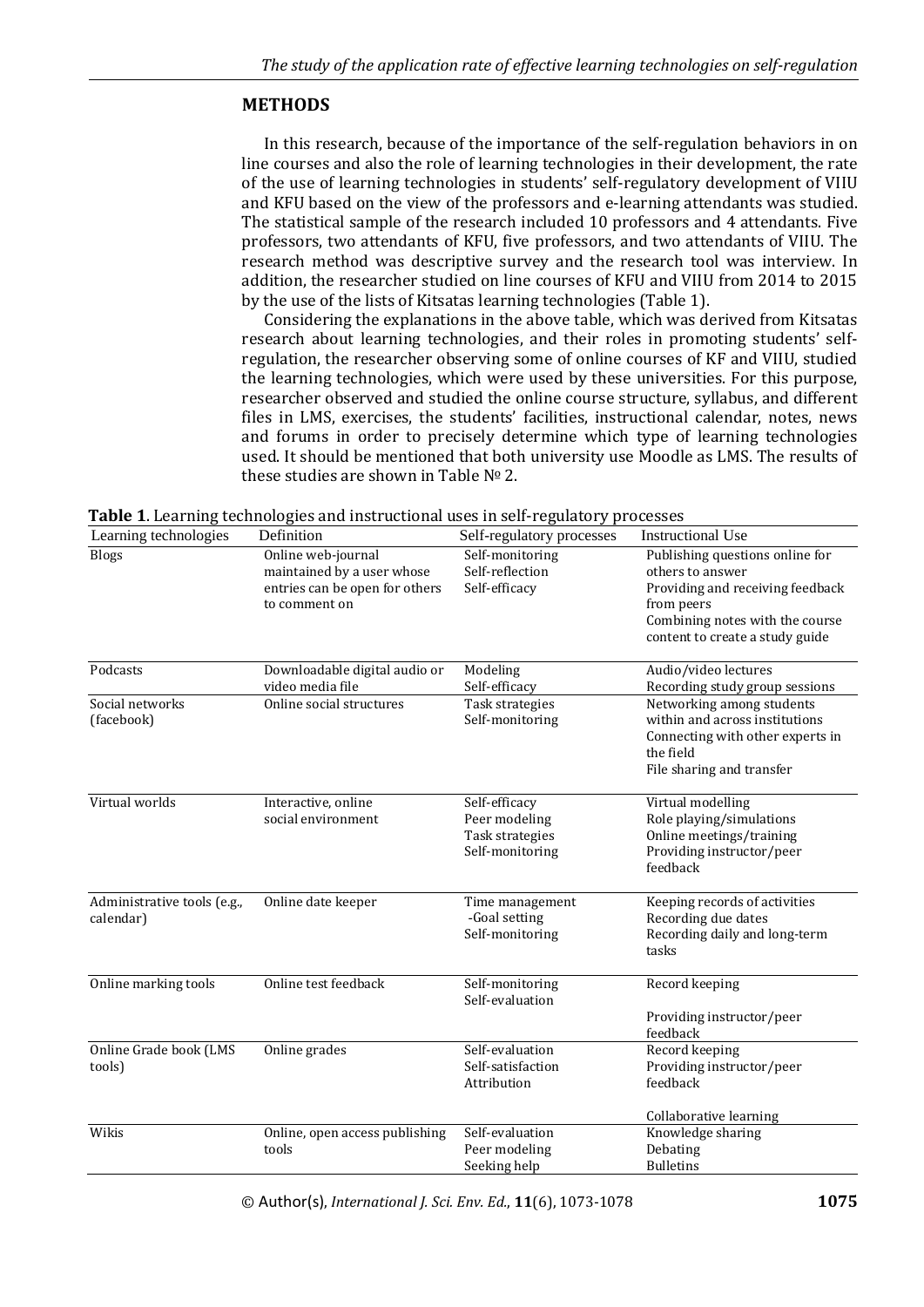## **METHODS**

In this research, because of the importance of the self-regulation behaviors in on line courses and also the role of learning technologies in their development, the rate of the use of learning technologies in students' self-regulatory development of VIIU and KFU based on the view of the professors and e-learning attendants was studied. The statistical sample of the research included 10 professors and 4 attendants. Five professors, two attendants of KFU, five professors, and two attendants of VIIU. The research method was descriptive survey and the research tool was interview. In addition, the researcher studied on line courses of KFU and VIIU from 2014 to 2015 by the use of the lists of Kitsatas learning technologies (Table 1).

Considering the explanations in the above table, which was derived from Kitsatas research about learning technologies, and their roles in promoting students' selfregulation, the researcher observing some of online courses of KF and VIIU, studied the learning technologies, which were used by these universities. For this purpose, researcher observed and studied the online course structure, syllabus, and different files in LMS, exercises, the students' facilities, instructional calendar, notes, news and forums in order to precisely determine which type of learning technologies used. It should be mentioned that both university use Moodle as LMS. The results of these studies are shown in Table № 2.

| Learning technologies                    | rabic 1. Learning technologies and modulum as and self-regulatory processes<br>Definition           | Self-regulatory processes                                            | <b>Instructional Use</b>                                                                                                                                                    |
|------------------------------------------|-----------------------------------------------------------------------------------------------------|----------------------------------------------------------------------|-----------------------------------------------------------------------------------------------------------------------------------------------------------------------------|
| <b>Blogs</b>                             | Online web-journal<br>maintained by a user whose<br>entries can be open for others<br>to comment on | Self-monitoring<br>Self-reflection<br>Self-efficacy                  | Publishing questions online for<br>others to answer<br>Providing and receiving feedback<br>from peers<br>Combining notes with the course<br>content to create a study guide |
| Podcasts                                 | Downloadable digital audio or<br>video media file                                                   | Modeling<br>Self-efficacy                                            | Audio/video lectures<br>Recording study group sessions                                                                                                                      |
| Social networks<br>(facebook)            | Online social structures                                                                            | Task strategies<br>Self-monitoring                                   | Networking among students<br>within and across institutions<br>Connecting with other experts in<br>the field<br>File sharing and transfer                                   |
| Virtual worlds                           | Interactive, online<br>social environment                                                           | Self-efficacy<br>Peer modeling<br>Task strategies<br>Self-monitoring | Virtual modelling<br>Role playing/simulations<br>Online meetings/training<br>Providing instructor/peer<br>feedback                                                          |
| Administrative tools (e.g.,<br>calendar) | Online date keeper                                                                                  | Time management<br>-Goal setting<br>Self-monitoring                  | Keeping records of activities<br>Recording due dates<br>Recording daily and long-term<br>tasks                                                                              |
| Online marking tools                     | Online test feedback                                                                                | Self-monitoring<br>Self-evaluation                                   | Record keeping<br>Providing instructor/peer<br>feedback                                                                                                                     |
| Online Grade book (LMS<br>tools)         | Online grades                                                                                       | Self-evaluation<br>Self-satisfaction<br>Attribution                  | Record keeping<br>Providing instructor/peer<br>feedback<br>Collaborative learning                                                                                           |
| Wikis                                    | Online, open access publishing<br>tools                                                             | Self-evaluation<br>Peer modeling<br>Seeking help                     | Knowledge sharing<br>Debating<br><b>Bulletins</b>                                                                                                                           |

**Table 1**. Learning technologies and instructional uses in self-regulatory processes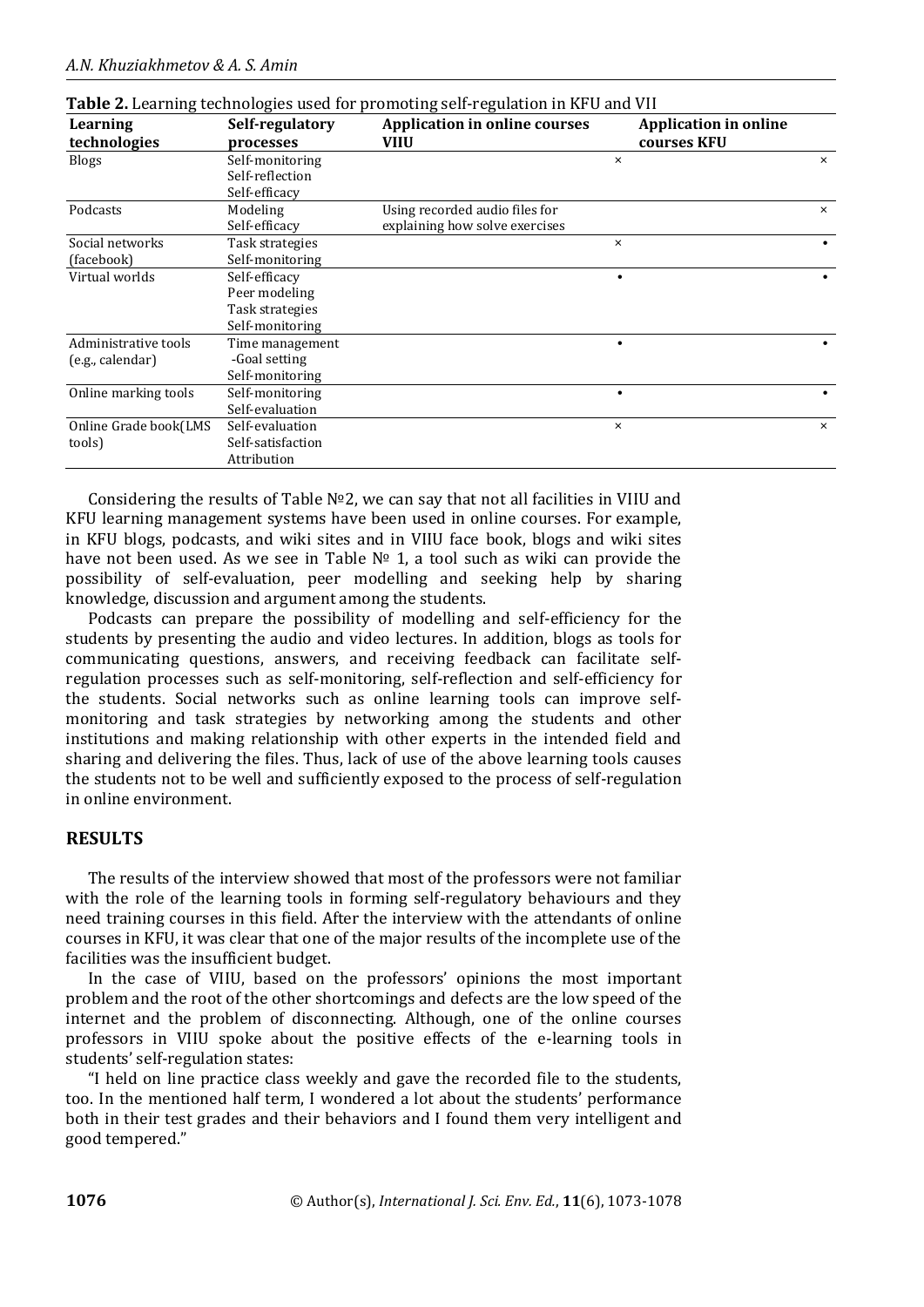| Learning<br>technologies                 | Self-regulatory<br>processes                                         | <b>Application in online courses</b><br><b>VIIU</b>              |          | <b>Application in online</b><br>courses KFU |          |
|------------------------------------------|----------------------------------------------------------------------|------------------------------------------------------------------|----------|---------------------------------------------|----------|
| <b>Blogs</b>                             | Self-monitoring<br>Self-reflection                                   |                                                                  | $\times$ |                                             | $\times$ |
| Podcasts                                 | Self-efficacy<br>Modeling<br>Self-efficacy                           | Using recorded audio files for<br>explaining how solve exercises |          |                                             | $\times$ |
| Social networks<br>(facebook)            | Task strategies<br>Self-monitoring                                   |                                                                  | $\times$ |                                             |          |
| Virtual worlds                           | Self-efficacy<br>Peer modeling<br>Task strategies<br>Self-monitoring |                                                                  |          |                                             |          |
| Administrative tools<br>(e.g., calendar) | Time management<br>-Goal setting<br>Self-monitoring                  |                                                                  |          |                                             |          |
| Online marking tools                     | Self-monitoring<br>Self-evaluation                                   |                                                                  |          |                                             |          |
| Online Grade book(LMS<br>tools)          | Self-evaluation<br>Self-satisfaction<br>Attribution                  |                                                                  | $\times$ |                                             | $\times$ |

|  |  | Table 2. Learning technologies used for promoting self-regulation in KFU and VII |
|--|--|----------------------------------------------------------------------------------|
|  |  |                                                                                  |

Considering the results of Table №2, we can say that not all facilities in VIIU and KFU learning management systems have been used in online courses. For example, in KFU blogs, podcasts, and wiki sites and in VIIU face book, blogs and wiki sites have not been used. As we see in Table № 1, a tool such as wiki can provide the possibility of self-evaluation, peer modelling and seeking help by sharing knowledge, discussion and argument among the students.

Podcasts can prepare the possibility of modelling and self-efficiency for the students by presenting the audio and video lectures. In addition, blogs as tools for communicating questions, answers, and receiving feedback can facilitate selfregulation processes such as self-monitoring, self-reflection and self-efficiency for the students. Social networks such as online learning tools can improve selfmonitoring and task strategies by networking among the students and other institutions and making relationship with other experts in the intended field and sharing and delivering the files. Thus, lack of use of the above learning tools causes the students not to be well and sufficiently exposed to the process of self-regulation in online environment.

## **RESULTS**

The results of the interview showed that most of the professors were not familiar with the role of the learning tools in forming self-regulatory behaviours and they need training courses in this field. After the interview with the attendants of online courses in KFU, it was clear that one of the major results of the incomplete use of the facilities was the insufficient budget.

In the case of VIIU, based on the professors' opinions the most important problem and the root of the other shortcomings and defects are the low speed of the internet and the problem of disconnecting. Although, one of the online courses professors in VIIU spoke about the positive effects of the e-learning tools in students' self-regulation states:

"I held on line practice class weekly and gave the recorded file to the students, too. In the mentioned half term, I wondered a lot about the students' performance both in their test grades and their behaviors and I found them very intelligent and good tempered."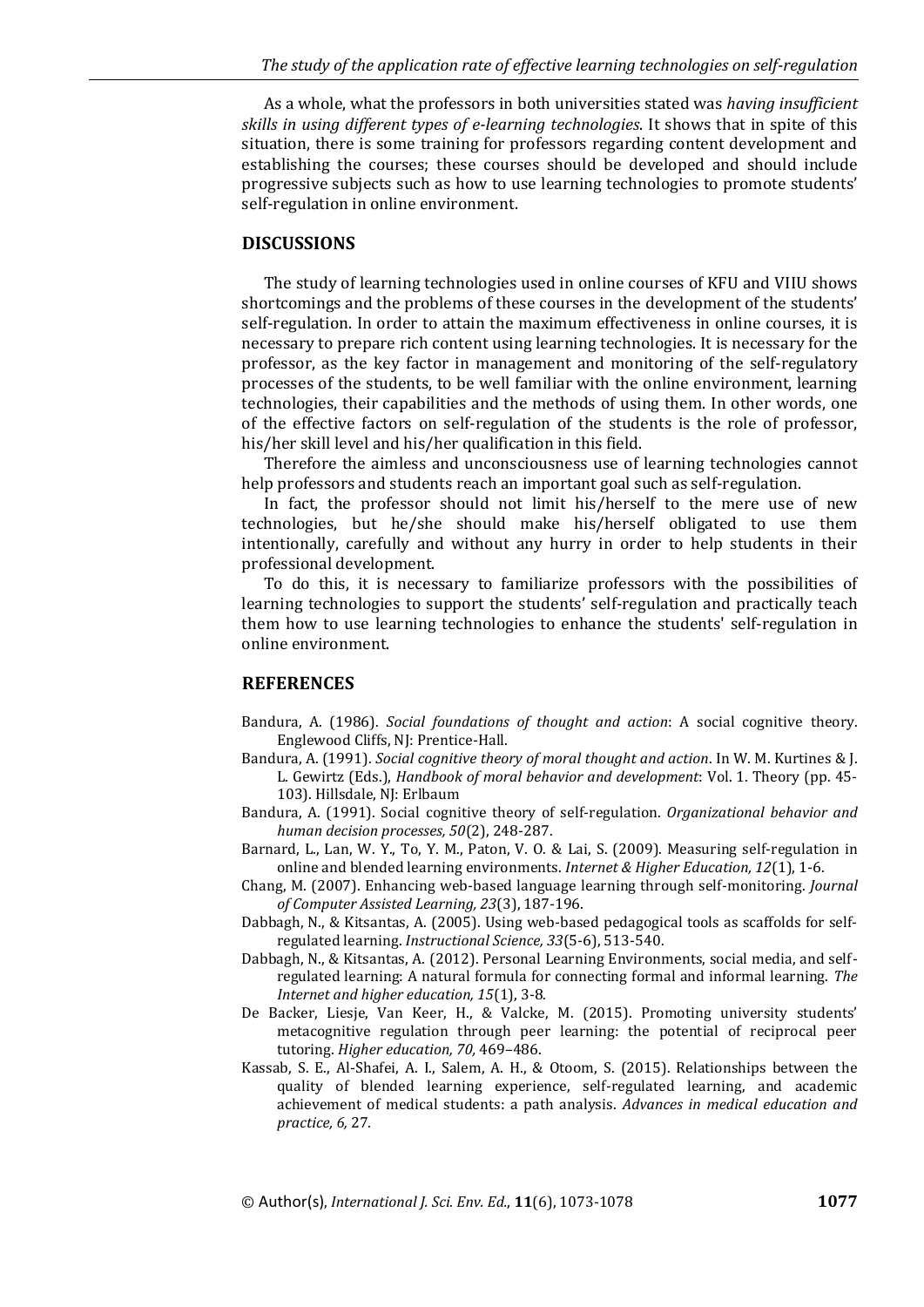As a whole, what the professors in both universities stated was *having insufficient skills in using different types of e-learning technologies*. It shows that in spite of this situation, there is some training for professors regarding content development and establishing the courses; these courses should be developed and should include progressive subjects such as how to use learning technologies to promote students' self-regulation in online environment.

#### **DISCUSSIONS**

The study of learning technologies used in online courses of KFU and VIIU shows shortcomings and the problems of these courses in the development of the students' self-regulation. In order to attain the maximum effectiveness in online courses, it is necessary to prepare rich content using learning technologies. It is necessary for the professor, as the key factor in management and monitoring of the self-regulatory processes of the students, to be well familiar with the online environment, learning technologies, their capabilities and the methods of using them. In other words, one of the effective factors on self-regulation of the students is the role of professor, his/her skill level and his/her qualification in this field.

Therefore the aimless and unconsciousness use of learning technologies cannot help professors and students reach an important goal such as self-regulation.

In fact, the professor should not limit his/herself to the mere use of new technologies, but he/she should make his/herself obligated to use them intentionally, carefully and without any hurry in order to help students in their professional development.

To do this, it is necessary to familiarize professors with the possibilities of learning technologies to support the students' self-regulation and practically teach them how to use learning technologies to enhance the students' self-regulation in online environment.

#### **REFERENCES**

- Bandura, A. (1986). *Social foundations of thought and action*: A social cognitive theory. Englewood Cliffs, NJ: Prentice-Hall.
- Bandura, A. (1991). *Social cognitive theory of moral thought and action*. In W. M. Kurtines & J. L. Gewirtz (Eds.), *Handbook of moral behavior and development*: Vol. 1. Theory (pp. 45- 103). Hillsdale, NJ: Erlbaum
- Bandura, A. (1991). Social cognitive theory of self-regulation. *Organizational behavior and human decision processes, 50*(2), 248-287.
- Barnard, L., Lan, W. Y., To, Y. M., Paton, V. O. & Lai, S. (2009). Measuring self-regulation in online and blended learning environments. *Internet & Higher Education, 12*(1), 1-6.
- Chang, M. (2007). Enhancing web-based language learning through self-monitoring. *Journal of Computer Assisted Learning, 23*(3), 187-196.
- Dabbagh, N., & Kitsantas, A. (2005). Using web-based pedagogical tools as scaffolds for selfregulated learning. *Instructional Science, 33*(5-6), 513-540.
- Dabbagh, N., & Kitsantas, A. (2012). Personal Learning Environments, social media, and selfregulated learning: A natural formula for connecting formal and informal learning. *The Internet and higher education, 15*(1), 3-8.
- De Backer, Liesje, Van Keer, H., & Valcke, M. (2015). Promoting university students' metacognitive regulation through peer learning: the potential of reciprocal peer tutoring. *Higher education, 70,* 469–486.
- Kassab, S. E., Al-Shafei, A. I., Salem, A. H., & Otoom, S. (2015). Relationships between the quality of blended learning experience, self-regulated learning, and academic achievement of medical students: a path analysis. *Advances in medical education and practice, 6,* 27.